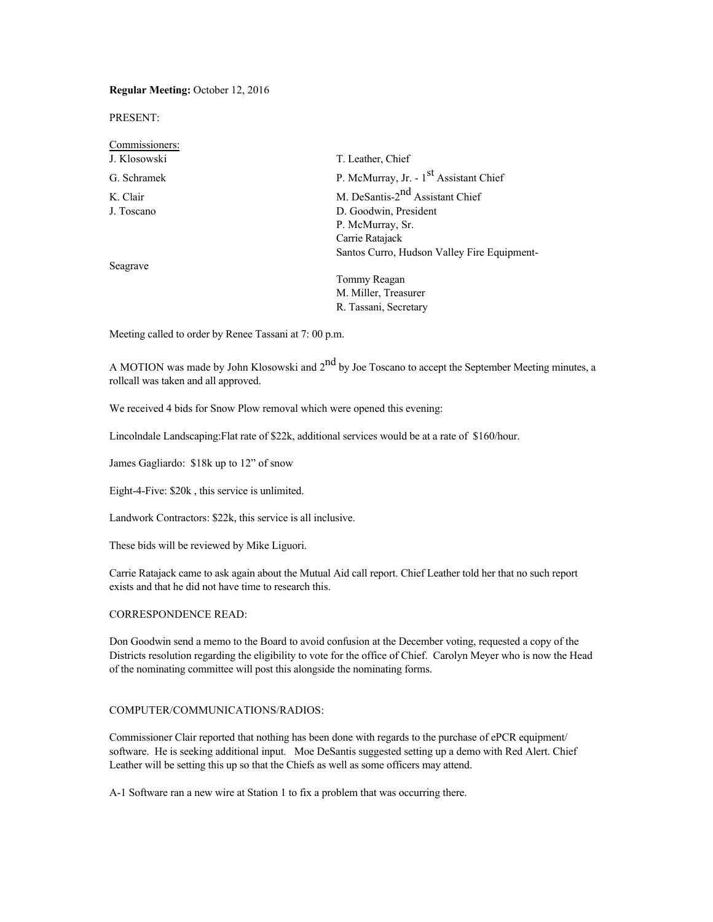## **Regular Meeting:** October 12, 2016

PRESENT:

| Commissioners: |                                                    |
|----------------|----------------------------------------------------|
| J. Klosowski   | T. Leather, Chief                                  |
| G. Schramek    | P. McMurray, Jr. - 1 <sup>st</sup> Assistant Chief |
| K. Clair       | M. DeSantis-2 <sup>nd</sup> Assistant Chief        |
| J. Toscano     | D. Goodwin, President                              |
|                | P. McMurray, Sr.                                   |
|                | Carrie Ratajack                                    |
|                | Santos Curro, Hudson Valley Fire Equipment-        |
| Seagrave       |                                                    |
|                | Tommy Reagan                                       |
|                | M. Miller, Treasurer                               |

Meeting called to order by Renee Tassani at 7: 00 p.m.

A MOTION was made by John Klosowski and  $2<sup>nd</sup>$  by Joe Toscano to accept the September Meeting minutes, a rollcall was taken and all approved.

R. Tassani, Secretary

We received 4 bids for Snow Plow removal which were opened this evening:

Lincolndale Landscaping:Flat rate of \$22k, additional services would be at a rate of \$160/hour.

James Gagliardo: \$18k up to 12" of snow

Eight-4-Five: \$20k , this service is unlimited.

Landwork Contractors: \$22k, this service is all inclusive.

These bids will be reviewed by Mike Liguori.

Carrie Ratajack came to ask again about the Mutual Aid call report. Chief Leather told her that no such report exists and that he did not have time to research this.

### CORRESPONDENCE READ:

Don Goodwin send a memo to the Board to avoid confusion at the December voting, requested a copy of the Districts resolution regarding the eligibility to vote for the office of Chief. Carolyn Meyer who is now the Head of the nominating committee will post this alongside the nominating forms.

## COMPUTER/COMMUNICATIONS/RADIOS:

Commissioner Clair reported that nothing has been done with regards to the purchase of ePCR equipment/ software. He is seeking additional input. Moe DeSantis suggested setting up a demo with Red Alert. Chief Leather will be setting this up so that the Chiefs as well as some officers may attend.

A-1 Software ran a new wire at Station 1 to fix a problem that was occurring there.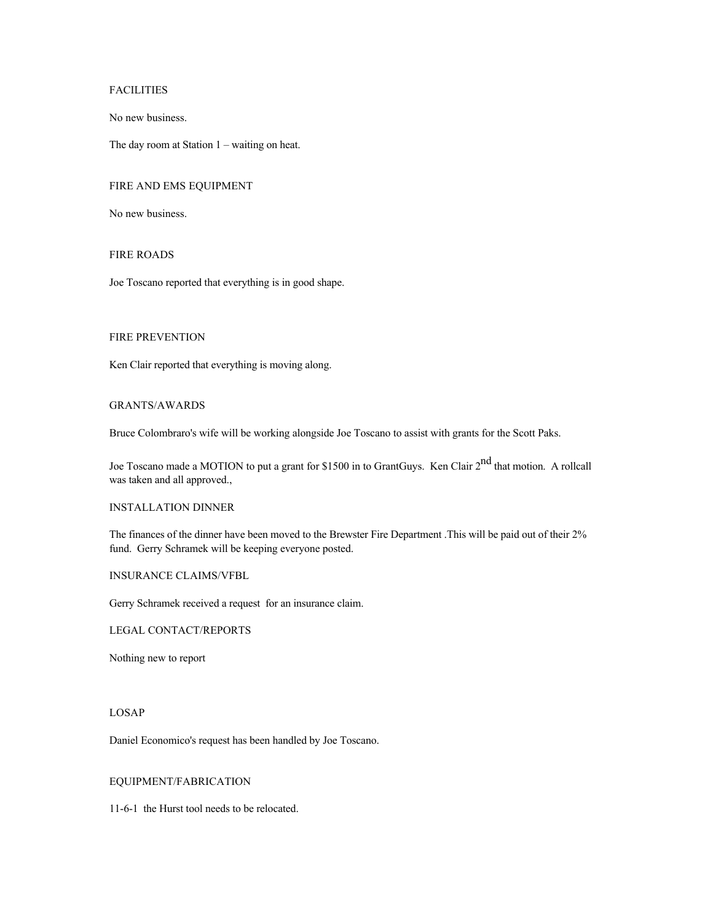# FACILITIES

No new business.

The day room at Station 1 – waiting on heat.

# FIRE AND EMS EQUIPMENT

No new business.

#### FIRE ROADS

Joe Toscano reported that everything is in good shape.

## FIRE PREVENTION

Ken Clair reported that everything is moving along.

### GRANTS/AWARDS

Bruce Colombraro's wife will be working alongside Joe Toscano to assist with grants for the Scott Paks.

Joe Toscano made a MOTION to put a grant for \$1500 in to GrantGuys. Ken Clair 2<sup>nd</sup> that motion. A rollcall was taken and all approved.,

#### INSTALLATION DINNER

The finances of the dinner have been moved to the Brewster Fire Department .This will be paid out of their 2% fund. Gerry Schramek will be keeping everyone posted.

## INSURANCE CLAIMS/VFBL

Gerry Schramek received a request for an insurance claim.

LEGAL CONTACT/REPORTS

Nothing new to report

### LOSAP

Daniel Economico's request has been handled by Joe Toscano.

## EQUIPMENT/FABRICATION

11-6-1 the Hurst tool needs to be relocated.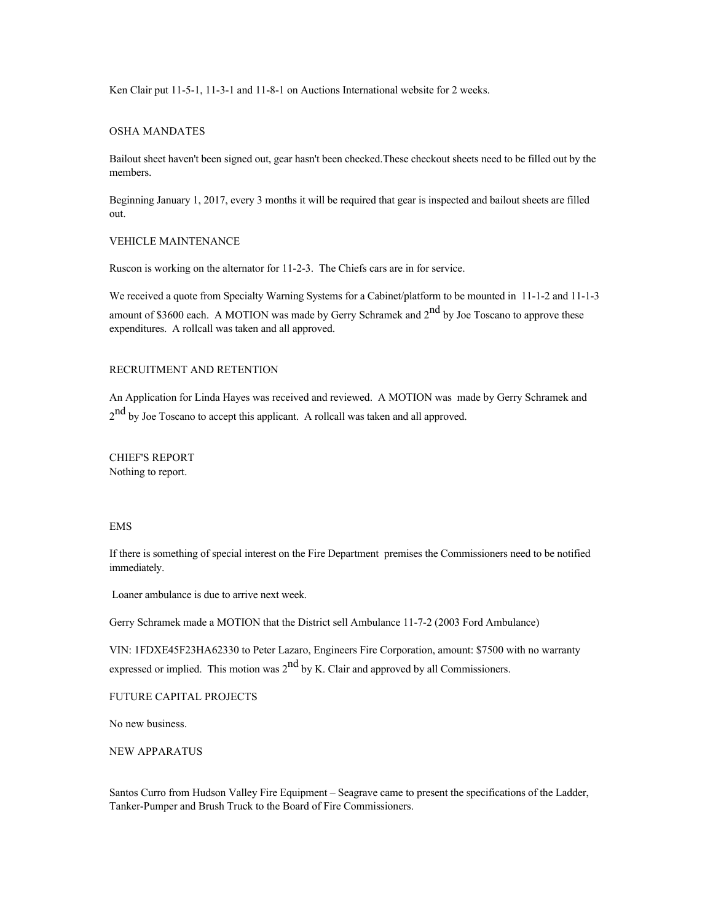Ken Clair put 11-5-1, 11-3-1 and 11-8-1 on Auctions International website for 2 weeks.

#### OSHA MANDATES

Bailout sheet haven't been signed out, gear hasn't been checked.These checkout sheets need to be filled out by the members.

Beginning January 1, 2017, every 3 months it will be required that gear is inspected and bailout sheets are filled out.

### VEHICLE MAINTENANCE

Ruscon is working on the alternator for 11-2-3. The Chiefs cars are in for service.

We received a quote from Specialty Warning Systems for a Cabinet/platform to be mounted in 11-1-2 and 11-1-3 amount of \$3600 each. A MOTION was made by Gerry Schramek and 2<sup>nd</sup> by Joe Toscano to approve these expenditures. A rollcall was taken and all approved.

## RECRUITMENT AND RETENTION

An Application for Linda Hayes was received and reviewed. A MOTION was made by Gerry Schramek and  $2<sup>nd</sup>$  by Joe Toscano to accept this applicant. A rollcall was taken and all approved.

CHIEF'S REPORT Nothing to report.

## EMS

If there is something of special interest on the Fire Department premises the Commissioners need to be notified immediately.

Loaner ambulance is due to arrive next week.

Gerry Schramek made a MOTION that the District sell Ambulance 11-7-2 (2003 Ford Ambulance)

VIN: 1FDXE45F23HA62330 to Peter Lazaro, Engineers Fire Corporation, amount: \$7500 with no warranty expressed or implied. This motion was  $2<sup>nd</sup>$  by K. Clair and approved by all Commissioners.

FUTURE CAPITAL PROJECTS

No new business.

NEW APPARATUS

Santos Curro from Hudson Valley Fire Equipment – Seagrave came to present the specifications of the Ladder, Tanker-Pumper and Brush Truck to the Board of Fire Commissioners.